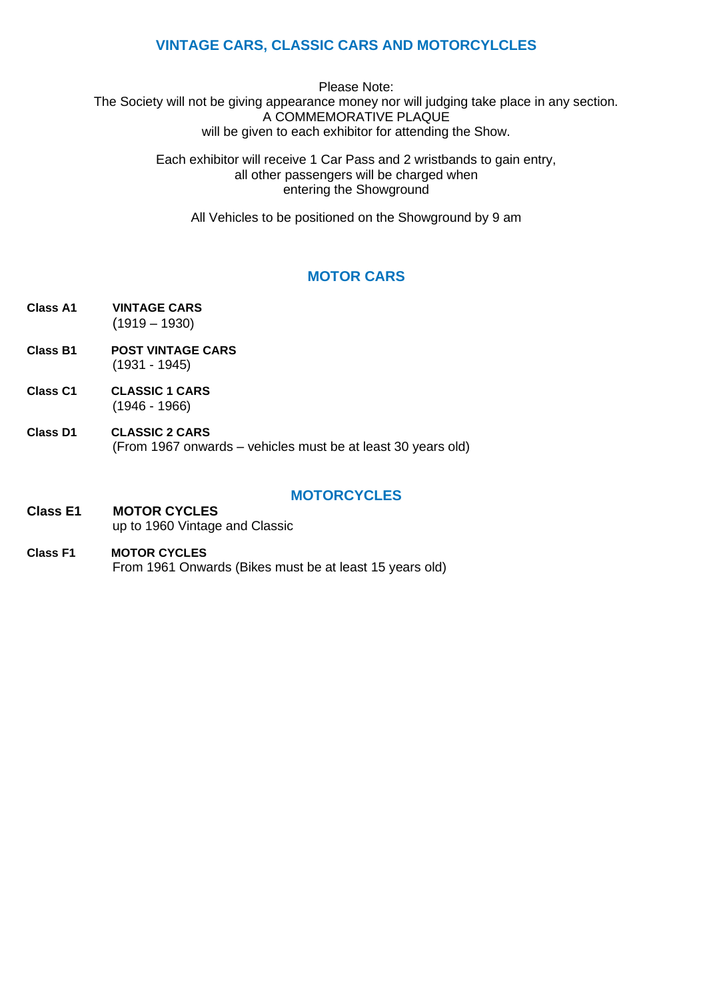## **VINTAGE CARS, CLASSIC CARS AND MOTORCYLCLES**

Please Note: The Society will not be giving appearance money nor will judging take place in any section. A COMMEMORATIVE PLAQUE will be given to each exhibitor for attending the Show.

> Each exhibitor will receive 1 Car Pass and 2 wristbands to gain entry, all other passengers will be charged when entering the Showground

All Vehicles to be positioned on the Showground by 9 am

# **MOTOR CARS**

- **Class A1 VINTAGE CARS** (1919 – 1930)
- **Class B1 POST VINTAGE CARS** (1931 - 1945)
- **Class C1 CLASSIC 1 CARS** (1946 - 1966)
- **Class D1 CLASSIC 2 CARS** (From 1967 onwards – vehicles must be at least 30 years old)

#### **MOTORCYCLES**

#### **Class E1 MOTOR CYCLES** up to 1960 Vintage and Classic

**Class F1 MOTOR CYCLES** From 1961 Onwards (Bikes must be at least 15 years old)